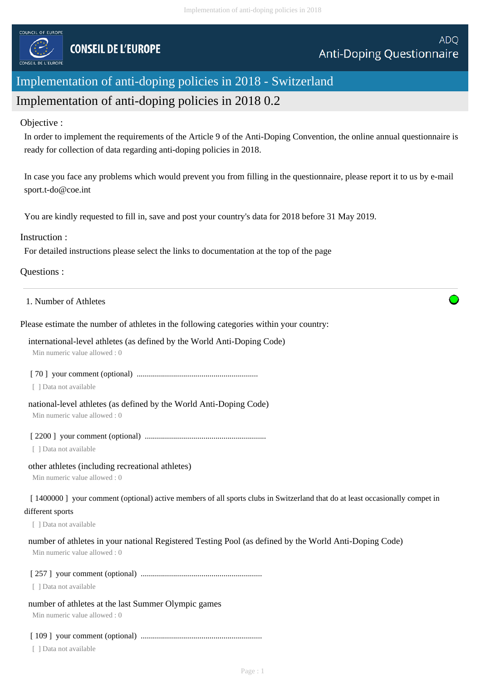

# Implementation of anti-doping policies in 2018 - Switzerland Implementation of anti-doping policies in 2018 0.2

# Objective :

In order to implement the requirements of the Article 9 of the Anti-Doping Convention, the online annual questionnaire is ready for collection of data regarding anti-doping policies in 2018.

In case you face any problems which would prevent you from filling in the questionnaire, please report it to us by e-mail sport.t-do@coe.int

You are kindly requested to fill in, save and post your country's data for 2018 before 31 May 2019.

# Instruction :

For detailed instructions please select the links to documentation at the top of the page

# Questions :

## 1. Number of Athletes

Please estimate the number of athletes in the following categories within your country:

international-level athletes (as defined by the World Anti-Doping Code)

Min numeric value allowed : 0

[ 70 ] your comment (optional) ............................................................

[ ] Data not available

## national-level athletes (as defined by the World Anti-Doping Code)

Min numeric value allowed : 0

## [ 2200 ] your comment (optional) ............................................................

[ ] Data not available

## other athletes (including recreational athletes)

Min numeric value allowed : 0

[ 1400000 ] your comment (optional) active members of all sports clubs in Switzerland that do at least occasionally compet in

#### different sports

[ ] Data not available

## number of athletes in your national Registered Testing Pool (as defined by the World Anti-Doping Code)

Min numeric value allowed : 0

## [ 257 ] your comment (optional) ............................................................

[ ] Data not available

## number of athletes at the last Summer Olympic games

Min numeric value allowed : 0

# [ 109 ] your comment (optional) ............................................................

[ ] Data not available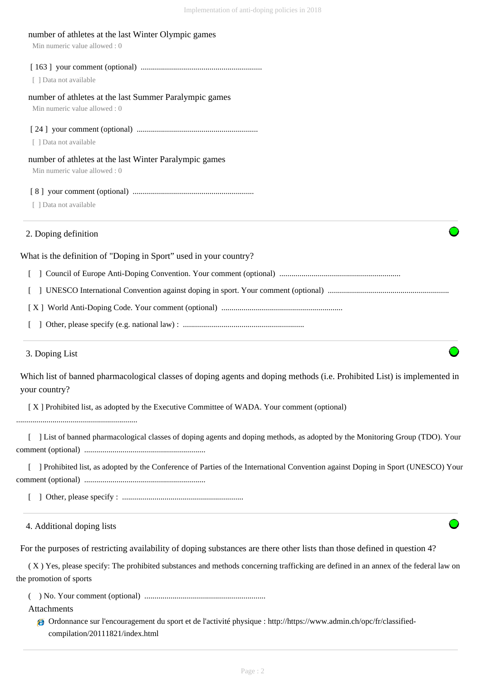| number of athletes at the last Winter Olympic games<br>Min numeric value allowed: 0                                                                            |
|----------------------------------------------------------------------------------------------------------------------------------------------------------------|
| [ ] Data not available                                                                                                                                         |
| number of athletes at the last Summer Paralympic games<br>Min numeric value allowed: 0                                                                         |
| [ ] Data not available                                                                                                                                         |
| number of athletes at the last Winter Paralympic games<br>Min numeric value allowed: 0                                                                         |
| [ ] Data not available                                                                                                                                         |
| 2. Doping definition                                                                                                                                           |
| What is the definition of "Doping in Sport" used in your country?                                                                                              |
|                                                                                                                                                                |
| L                                                                                                                                                              |
|                                                                                                                                                                |
|                                                                                                                                                                |
| 3. Doping List                                                                                                                                                 |
| Which list of banned pharmacological classes of doping agents and doping methods (i.e. Prohibited List) is implemented in<br>your country?                     |
| [X] Prohibited list, as adopted by the Executive Committee of WADA. Your comment (optional)                                                                    |
| ] List of banned pharmacological classes of doping agents and doping methods, as adopted by the Monitoring Group (TDO). Your                                   |
| ] Prohibited list, as adopted by the Conference of Parties of the International Convention against Doping in Sport (UNESCO) Your                               |
|                                                                                                                                                                |
| 4. Additional doping lists                                                                                                                                     |
| For the purposes of restricting availability of doping substances are there other lists than those defined in question 4?                                      |
| (X) Yes, please specify: The prohibited substances and methods concerning trafficking are defined in an annex of the federal law on<br>the promotion of sports |
| Attachments                                                                                                                                                    |

Ordonnance sur l'encouragement du sport et de l'activité physique : http://https://www.admin.ch/opc/fr/classifiedcompilation/20111821/index.html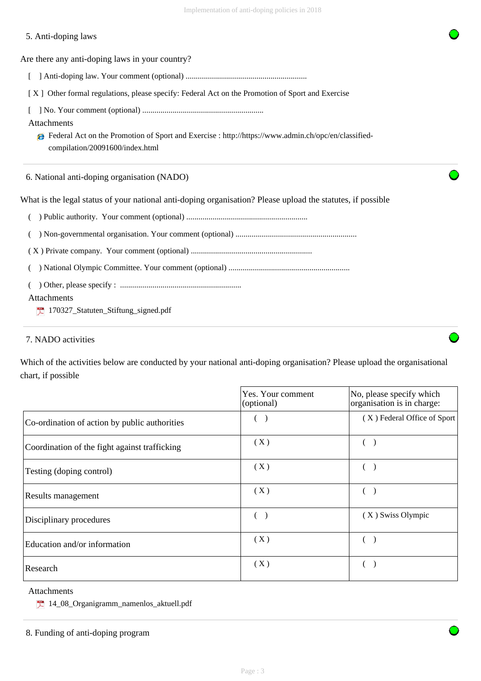# 5. Anti-doping laws

Are there any anti-doping laws in your country?

- [ ] Anti-doping law. Your comment (optional) ............................................................
- [ X ] Other formal regulations, please specify: Federal Act on the Promotion of Sport and Exercise
- [ ] No. Your comment (optional) ............................................................

# Attachments

Federal Act on the Promotion of Sport and Exercise : http://https://www.admin.ch/opc/en/classifiedcompilation/20091600/index.html

6. National anti-doping organisation (NADO)

What is the legal status of your national anti-doping organisation? Please upload the statutes, if possible

|  |  |  | Department (ptional) manufactured members of Public authority. Your comment (optional) manufactured members of |
|--|--|--|----------------------------------------------------------------------------------------------------------------|
|--|--|--|----------------------------------------------------------------------------------------------------------------|

( ) Non-governmental organisation. Your comment (optional) ............................................................

( X ) Private company. Your comment (optional) ............................................................

( ) National Olympic Committee. Your comment (optional) ............................................................

( ) Other, please specify : ............................................................

Attachments

170327\_Statuten\_Stiftung\_signed.pdf

# 7. NADO activities

Which of the activities below are conducted by your national anti-doping organisation? Please upload the organisational chart, if possible

|                                               | Yes. Your comment<br>(optional) | No, please specify which<br>organisation is in charge: |
|-----------------------------------------------|---------------------------------|--------------------------------------------------------|
| Co-ordination of action by public authorities |                                 | (X) Federal Office of Sport                            |
| Coordination of the fight against trafficking | (X)                             |                                                        |
| Testing (doping control)                      | (X)                             |                                                        |
| Results management                            | (X)                             |                                                        |
| Disciplinary procedures                       |                                 | (X) Swiss Olympic                                      |
| Education and/or information                  | (X)                             |                                                        |
| Research                                      | (X)                             |                                                        |

## Attachments

<sup>14</sup>\_08\_Organigramm\_namenlos\_aktuell.pdf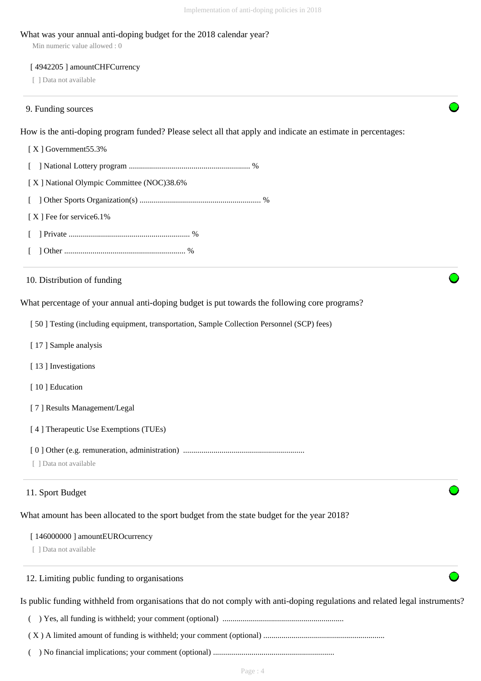#### What was your annual anti-doping budget for the 2018 calendar year?

Min numeric value allowed : 0

#### [4942205] amountCHFCurrency

[ ] Data not available

#### 9. Funding sources

How is the anti-doping program funded? Please select all that apply and indicate an estimate in percentages:

 [ X ] Government55.3% [ ] National Lottery program ............................................................ % [ X ] National Olympic Committee (NOC)38.6% [ ] Other Sports Organization(s) ............................................................ % [X ] Fee for service 6.1% [ ] Private ............................................................ % [ ] Other ............................................................ % What percentage of your annual anti-doping budget is put towards the following core programs? [ 50 ] Testing (including equipment, transportation, Sample Collection Personnel (SCP) fees) [17] Sample analysis [13] Investigations [10] Education [ 7 ] Results Management/Legal [ 4 ] Therapeutic Use Exemptions (TUEs) [ 0 ] Other (e.g. remuneration, administration) ............................................................ [ ] Data not available What amount has been allocated to the sport budget from the state budget for the year 2018? [ 146000000 ] amountEUROcurrency [ ] Data not available Is public funding withheld from organisations that do not comply with anti-doping regulations and related legal instruments? ( ) Yes, all funding is withheld; your comment (optional) ............................................................ 10. Distribution of funding 11. Sport Budget 12. Limiting public funding to organisations

( X ) A limited amount of funding is withheld; your comment (optional) ............................................................

( ) No financial implications; your comment (optional) ............................................................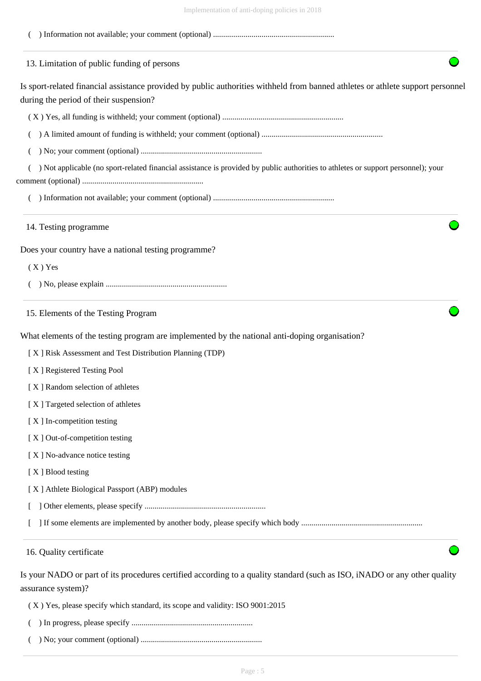| <u>Implementation</u> of anti-doping policies in 2016                                                                                                                     |
|---------------------------------------------------------------------------------------------------------------------------------------------------------------------------|
|                                                                                                                                                                           |
| 13. Limitation of public funding of persons                                                                                                                               |
| Is sport-related financial assistance provided by public authorities withheld from banned athletes or athlete support personnel<br>during the period of their suspension? |
|                                                                                                                                                                           |
|                                                                                                                                                                           |
|                                                                                                                                                                           |
| Not applicable (no sport-related financial assistance is provided by public authorities to athletes or support personnel); your                                           |
|                                                                                                                                                                           |
| 14. Testing programme                                                                                                                                                     |
| Does your country have a national testing programme?                                                                                                                      |
| $(X)$ Yes                                                                                                                                                                 |
|                                                                                                                                                                           |
| 15. Elements of the Testing Program                                                                                                                                       |
| What elements of the testing program are implemented by the national anti-doping organisation?                                                                            |
| [X] Risk Assessment and Test Distribution Planning (TDP)                                                                                                                  |
| [X] Registered Testing Pool                                                                                                                                               |
| [X] Random selection of athletes                                                                                                                                          |
| [X] Targeted selection of athletes                                                                                                                                        |
| [X] In-competition testing                                                                                                                                                |
| [X] Out-of-competition testing                                                                                                                                            |
| [X] No-advance notice testing                                                                                                                                             |
| [X] Blood testing                                                                                                                                                         |
| [X] Athlete Biological Passport (ABP) modules                                                                                                                             |
|                                                                                                                                                                           |
|                                                                                                                                                                           |
| 16. Quality certificate                                                                                                                                                   |
| Is your NADO or part of its procedures certified according to a quality standard (such as ISO, iNADO or any other quality<br>assurance system)?                           |

( X ) Yes, please specify which standard, its scope and validity: ISO 9001:2015

- ( ) In progress, please specify ............................................................
- ( ) No; your comment (optional) ............................................................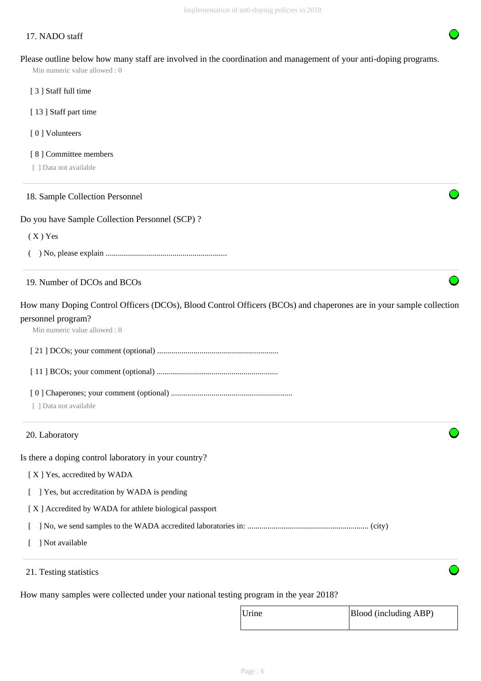# 17. NADO staff

Please outline below how many staff are involved in the coordination and management of your anti-doping programs.

Min numeric value allowed : 0

- [ 3 ] Staff full time
- [13] Staff part time
- [ 0 ] Volunteers
- [8] Committee members
- [ ] Data not available

# 18. Sample Collection Personnel

#### Do you have Sample Collection Personnel (SCP) ?

 $(X)$  Yes

( ) No, please explain ............................................................

# 19. Number of DCOs and BCOs

How many Doping Control Officers (DCOs), Blood Control Officers (BCOs) and chaperones are in your sample collection personnel program?

Min numeric value allowed : 0

[ 21 ] DCOs; your comment (optional) ............................................................

[ 11 ] BCOs; your comment (optional) ............................................................

- [ 0 ] Chaperones; your comment (optional) ............................................................
- [ ] Data not available

## 20. Laboratory

Is there a doping control laboratory in your country?

- [X] Yes, accredited by WADA
- [ ] Yes, but accreditation by WADA is pending
- [ X ] Accredited by WADA for athlete biological passport

[ ] No, we send samples to the WADA accredited laboratories in: ............................................................ (city)

- [ ] Not available
- 21. Testing statistics

How many samples were collected under your national testing program in the year 2018?

| Urine | Blood (including ABP) |
|-------|-----------------------|
|       |                       |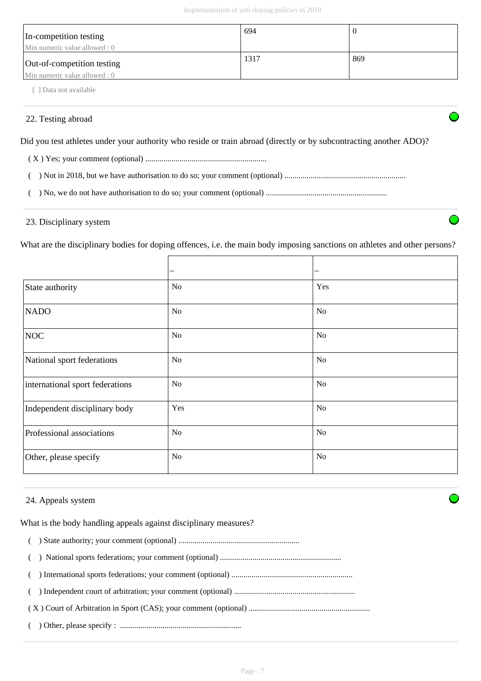| In-competition testing<br>Min numeric value allowed : 0     | 694  |     |
|-------------------------------------------------------------|------|-----|
| Out-of-competition testing<br>Min numeric value allowed : 0 | 1317 | 869 |

[ ] Data not available

# 22. Testing abroad

Did you test athletes under your authority who reside or train abroad (directly or by subcontracting another ADO)?

( X ) Yes; your comment (optional) ............................................................

( ) Not in 2018, but we have authorisation to do so; your comment (optional) ............................................................

( ) No, we do not have authorisation to do so; your comment (optional) ............................................................

# 23. Disciplinary system

What are the disciplinary bodies for doping offences, i.e. the main body imposing sanctions on athletes and other persons?

|                                 |                | —              |
|---------------------------------|----------------|----------------|
| State authority                 | <b>No</b>      | Yes            |
| <b>NADO</b>                     | <b>No</b>      | <b>No</b>      |
| <b>NOC</b>                      | <b>No</b>      | N <sub>o</sub> |
| National sport federations      | No             | N <sub>o</sub> |
| international sport federations | <b>No</b>      | N <sub>o</sub> |
| Independent disciplinary body   | Yes            | <b>No</b>      |
| Professional associations       | <b>No</b>      | N <sub>o</sub> |
| Other, please specify           | N <sub>o</sub> | N <sub>o</sub> |

# 24. Appeals system

What is the body handling appeals against disciplinary measures?

- ( ) State authority; your comment (optional) ............................................................
- ( ) National sports federations; your comment (optional) ............................................................
- ( ) International sports federations; your comment (optional) ............................................................
- ( ) Independent court of arbitration; your comment (optional) ............................................................
- ( X ) Court of Arbitration in Sport (CAS); your comment (optional) ............................................................
- ( ) Other, please specify : ............................................................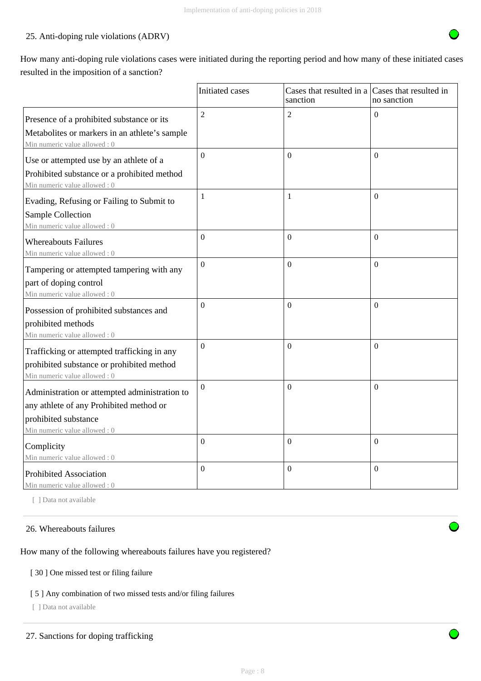# 25. Anti-doping rule violations (ADRV)

How many anti-doping rule violations cases were initiated during the reporting period and how many of these initiated cases resulted in the imposition of a sanction?

|                                                                                                                                                  | Initiated cases  | Cases that resulted in a Cases that resulted in<br>sanction | no sanction      |
|--------------------------------------------------------------------------------------------------------------------------------------------------|------------------|-------------------------------------------------------------|------------------|
| Presence of a prohibited substance or its<br>Metabolites or markers in an athlete's sample<br>Min numeric value allowed: 0                       | $\overline{2}$   | $\overline{2}$                                              | $\overline{0}$   |
| Use or attempted use by an athlete of a<br>Prohibited substance or a prohibited method<br>Min numeric value allowed: 0                           | $\overline{0}$   | $\Omega$                                                    | $\theta$         |
| Evading, Refusing or Failing to Submit to<br>Sample Collection<br>Min numeric value allowed: 0                                                   | $\mathbf{1}$     | $\mathbf{1}$                                                | $\theta$         |
| <b>Whereabouts Failures</b><br>Min numeric value allowed: 0                                                                                      | $\boldsymbol{0}$ | $\mathbf{0}$                                                | $\boldsymbol{0}$ |
| Tampering or attempted tampering with any<br>part of doping control<br>Min numeric value allowed: 0                                              | $\overline{0}$   | $\mathbf{0}$                                                | $\mathbf{0}$     |
| Possession of prohibited substances and<br>prohibited methods<br>Min numeric value allowed: 0                                                    | $\Omega$         | $\boldsymbol{0}$                                            | $\Omega$         |
| Trafficking or attempted trafficking in any<br>prohibited substance or prohibited method<br>Min numeric value allowed: 0                         | $\boldsymbol{0}$ | $\Omega$                                                    | $\theta$         |
| Administration or attempted administration to<br>any athlete of any Prohibited method or<br>prohibited substance<br>Min numeric value allowed: 0 | $\overline{0}$   | $\mathbf{0}$                                                | $\theta$         |
| Complicity<br>Min numeric value allowed: 0                                                                                                       | $\overline{0}$   | $\mathbf{0}$                                                | $\overline{0}$   |
| <b>Prohibited Association</b><br>Min numeric value allowed : 0                                                                                   | $\Omega$         | $\Omega$                                                    | $\theta$         |

[ ] Data not available

## 26. Whereabouts failures

How many of the following whereabouts failures have you registered?

# [ 30 ] One missed test or filing failure

# [ 5 ] Any combination of two missed tests and/or filing failures

[ ] Data not available

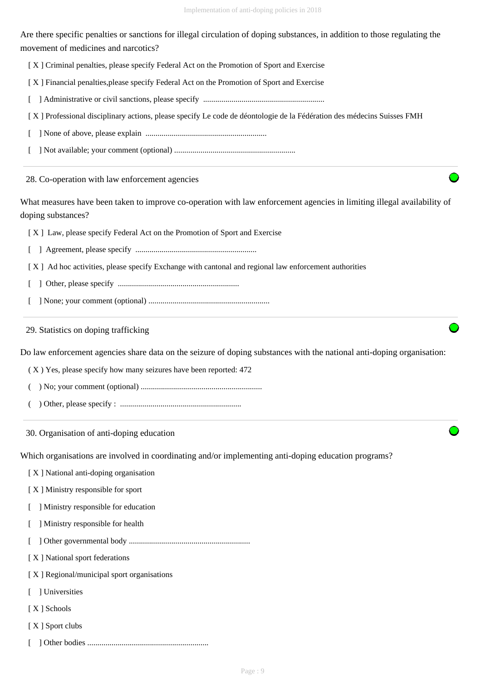Are there specific penalties or sanctions for illegal circulation of doping substances, in addition to those regulating the movement of medicines and narcotics?

- [X] Criminal penalties, please specify Federal Act on the Promotion of Sport and Exercise
- [ X ] Financial penalties,please specify Federal Act on the Promotion of Sport and Exercise
- [ ] Administrative or civil sanctions, please specify ............................................................
- [ X ] Professional disciplinary actions, please specify Le code de déontologie de la Fédération des médecins Suisses FMH
- [ ] None of above, please explain ............................................................
- [ ] Not available; your comment (optional) ............................................................

28. Co-operation with law enforcement agencies

What measures have been taken to improve co-operation with law enforcement agencies in limiting illegal availability of doping substances?

[ X ] Law, please specify Federal Act on the Promotion of Sport and Exercise

- [ ] Agreement, please specify ............................................................
- [ X ] Ad hoc activities, please specify Exchange with cantonal and regional law enforcement authorities
- [ ] Other, please specify ............................................................
- [ ] None; your comment (optional) ............................................................

29. Statistics on doping trafficking

Do law enforcement agencies share data on the seizure of doping substances with the national anti-doping organisation:

( X ) Yes, please specify how many seizures have been reported: 472

- ( ) No; your comment (optional) ............................................................
- ( ) Other, please specify : ............................................................

30. Organisation of anti-doping education

Which organisations are involved in coordinating and/or implementing anti-doping education programs?

- [ X ] National anti-doping organisation
- [ X ] Ministry responsible for sport
- [ ] Ministry responsible for education
- [ ] Ministry responsible for health
- [ ] Other governmental body ............................................................
- [ X ] National sport federations

[ X ] Regional/municipal sport organisations

- [ ] Universities
- [ X ] Schools
- [ X ] Sport clubs
- [ ] Other bodies ............................................................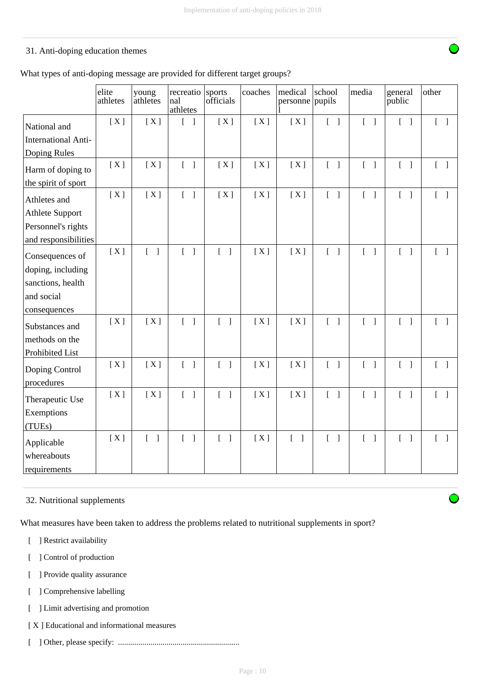# 31. Anti-doping education themes

|  |  |  | What types of anti-doping message are provided for different target groups? |
|--|--|--|-----------------------------------------------------------------------------|
|--|--|--|-----------------------------------------------------------------------------|

|                              | elite<br>athletes | young<br>athletes                 | recreatio<br>nal<br>athletes               | sports<br>officials               | coaches | medical<br>personne   pupils      | school                            | media                             | general<br>public                 | other                             |
|------------------------------|-------------------|-----------------------------------|--------------------------------------------|-----------------------------------|---------|-----------------------------------|-----------------------------------|-----------------------------------|-----------------------------------|-----------------------------------|
| National and                 | [X]               | [X]                               | $\begin{bmatrix} 1 \end{bmatrix}$          | [X]                               | [X]     | [X]                               | $\begin{bmatrix} 1 \end{bmatrix}$ | $\begin{bmatrix} 1 \end{bmatrix}$ | $\begin{bmatrix} 1 \end{bmatrix}$ | $\begin{bmatrix} 1 \end{bmatrix}$ |
| <b>International Anti-</b>   |                   |                                   |                                            |                                   |         |                                   |                                   |                                   |                                   |                                   |
| Doping Rules                 |                   |                                   |                                            |                                   |         |                                   |                                   |                                   |                                   |                                   |
| Harm of doping to            | [X]               | [X]                               | $\begin{bmatrix} 1 \end{bmatrix}$          | [X]                               | [X]     | [X]                               | $\begin{bmatrix} 1 \end{bmatrix}$ | $[ \ ]$                           | $\begin{bmatrix} 1 \end{bmatrix}$ | $\begin{bmatrix} 1 \end{bmatrix}$ |
| the spirit of sport          |                   |                                   |                                            |                                   |         |                                   |                                   |                                   |                                   |                                   |
| Athletes and                 | [X]               | [X]                               | $\begin{bmatrix} 1 \end{bmatrix}$          | [X]                               | [X]     | [X]                               | $\begin{bmatrix} 1 \end{bmatrix}$ | $\begin{bmatrix} 1 \end{bmatrix}$ | $\begin{bmatrix} 1 \end{bmatrix}$ | $[ \ ]$                           |
| <b>Athlete Support</b>       |                   |                                   |                                            |                                   |         |                                   |                                   |                                   |                                   |                                   |
| Personnel's rights           |                   |                                   |                                            |                                   |         |                                   |                                   |                                   |                                   |                                   |
| and responsibilities         |                   |                                   |                                            |                                   |         |                                   |                                   |                                   |                                   |                                   |
| Consequences of              | [X]               | $\begin{bmatrix} 1 \end{bmatrix}$ | $\begin{bmatrix} 1 \end{bmatrix}$          | $\begin{bmatrix} 1 \end{bmatrix}$ | [X]     | [X]                               | $\begin{bmatrix} 1 \end{bmatrix}$ | $\begin{bmatrix} 1 \end{bmatrix}$ | $\begin{bmatrix} 1 \end{bmatrix}$ | $\begin{bmatrix} 1 \end{bmatrix}$ |
| doping, including            |                   |                                   |                                            |                                   |         |                                   |                                   |                                   |                                   |                                   |
| sanctions, health            |                   |                                   |                                            |                                   |         |                                   |                                   |                                   |                                   |                                   |
| and social                   |                   |                                   |                                            |                                   |         |                                   |                                   |                                   |                                   |                                   |
| consequences                 |                   |                                   |                                            |                                   |         |                                   |                                   |                                   |                                   |                                   |
| Substances and               | [X]               | [X]                               | $\begin{bmatrix} 1 \end{bmatrix}$          | $\begin{bmatrix} 1 \end{bmatrix}$ | [X]     | [X]                               | $\begin{bmatrix} 1 \end{bmatrix}$ | $\begin{bmatrix} 1 \end{bmatrix}$ | $\begin{bmatrix} 1 \end{bmatrix}$ | $[ \ ]$                           |
| methods on the               |                   |                                   |                                            |                                   |         |                                   |                                   |                                   |                                   |                                   |
| Prohibited List              |                   |                                   |                                            |                                   |         |                                   |                                   |                                   |                                   |                                   |
| Doping Control<br>procedures | [X]               | [X]                               | $\begin{bmatrix} 1 \end{bmatrix}$          | $\begin{bmatrix} 1 \end{bmatrix}$ | [X]     | [X]                               | $\begin{bmatrix} 1 \end{bmatrix}$ | $\begin{bmatrix} 1 \end{bmatrix}$ | $\begin{bmatrix} 1 \end{bmatrix}$ | $\begin{bmatrix} 1 \end{bmatrix}$ |
| Therapeutic Use              | [X]               | [X]                               | $\begin{bmatrix} 1 \end{bmatrix}$          | $\begin{bmatrix} 1 \end{bmatrix}$ | [X]     | [X]                               | $\begin{bmatrix} 1 \end{bmatrix}$ | $\begin{bmatrix} 1 \end{bmatrix}$ | $\begin{bmatrix} 1 \end{bmatrix}$ | $\begin{bmatrix} 1 \end{bmatrix}$ |
| Exemptions                   |                   |                                   |                                            |                                   |         |                                   |                                   |                                   |                                   |                                   |
| (TUEs)                       |                   |                                   |                                            |                                   |         |                                   |                                   |                                   |                                   |                                   |
| Applicable                   | [X]               | $\begin{bmatrix} 1 \end{bmatrix}$ | $\overline{L}$<br>$\overline{\phantom{a}}$ | $\begin{bmatrix} 1 \end{bmatrix}$ | [X]     | $\begin{bmatrix} 1 \end{bmatrix}$ | $\begin{bmatrix} 1 \end{bmatrix}$ | $\begin{bmatrix} 1 \end{bmatrix}$ | $\begin{bmatrix} 1 \end{bmatrix}$ | $\begin{bmatrix} 1 \end{bmatrix}$ |
| whereabouts<br>requirements  |                   |                                   |                                            |                                   |         |                                   |                                   |                                   |                                   |                                   |

# 32. Nutritional supplements

What measures have been taken to address the problems related to nutritional supplements in sport?

- [ ] Restrict availability
- [ ] Control of production
- [ ] Provide quality assurance
- [ ] Comprehensive labelling
- [ ] Limit advertising and promotion
- [ X ] Educational and informational measures
- [ ] Other, please specify: ............................................................